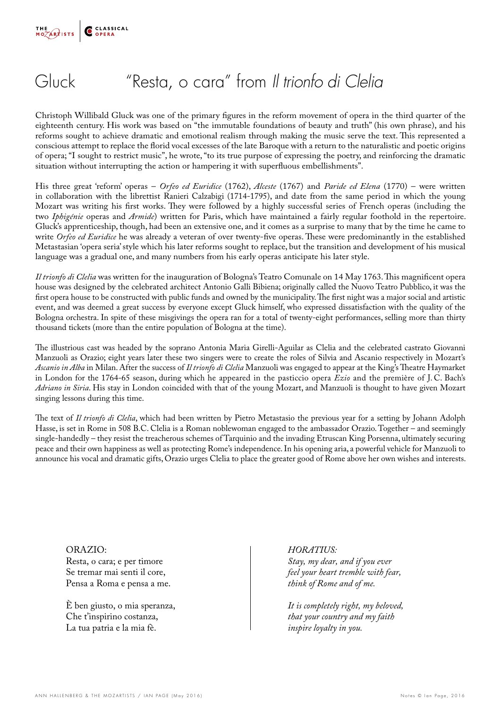

### Gluck "Resta, o cara" from *Il trionfo di Clelia*

Christoph Willibald Gluck was one of the primary figures in the reform movement of opera in the third quarter of the eighteenth century. His work was based on "the immutable foundations of beauty and truth" (his own phrase), and his reforms sought to achieve dramatic and emotional realism through making the music serve the text. This represented a conscious attempt to replace the florid vocal excesses of the late Baroque with a return to the naturalistic and poetic origins of opera; "I sought to restrict music", he wrote, "to its true purpose of expressing the poetry, and reinforcing the dramatic situation without interrupting the action or hampering it with superfluous embellishments".

His three great 'reform' operas – *Orfeo ed Euridice* (1762), *Alceste* (1767) and *Paride ed Elena* (1770) – were written in collaboration with the librettist Ranieri Calzabigi (1714-1795), and date from the same period in which the young Mozart was writing his first works. They were followed by a highly successful series of French operas (including the two *Iphigénie* operas and *Armide*) written for Paris, which have maintained a fairly regular foothold in the repertoire. Gluck's apprenticeship, though, had been an extensive one, and it comes as a surprise to many that by the time he came to write *Orfeo ed Euridice* he was already a veteran of over twenty-five operas. These were predominantly in the established Metastasian 'opera seria' style which his later reforms sought to replace, but the transition and development of his musical language was a gradual one, and many numbers from his early operas anticipate his later style.

*Il trionfo di Clelia* was written for the inauguration of Bologna's Teatro Comunale on 14 May 1763. This magnificent opera house was designed by the celebrated architect Antonio Galli Bibiena; originally called the Nuovo Teatro Pubblico, it was the first opera house to be constructed with public funds and owned by the municipality. The first night was a major social and artistic event, and was deemed a great success by everyone except Gluck himself, who expressed dissatisfaction with the quality of the Bologna orchestra. In spite of these misgivings the opera ran for a total of twenty-eight performances, selling more than thirty thousand tickets (more than the entire population of Bologna at the time).

The illustrious cast was headed by the soprano Antonia Maria Girelli-Aguilar as Clelia and the celebrated castrato Giovanni Manzuoli as Orazio; eight years later these two singers were to create the roles of Silvia and Ascanio respectively in Mozart's *Ascanio in Alba* in Milan. After the success of *Il trionfo di Clelia* Manzuoli was engaged to appear at the King's Theatre Haymarket in London for the 1764-65 season, during which he appeared in the pasticcio opera *Ezio* and the première of J. C. Bach's *Adriano in Siria*. His stay in London coincided with that of the young Mozart, and Manzuoli is thought to have given Mozart singing lessons during this time.

The text of *Il trionfo di Clelia*, which had been written by Pietro Metastasio the previous year for a setting by Johann Adolph Hasse, is set in Rome in 508 B.C. Clelia is a Roman noblewoman engaged to the ambassador Orazio. Together – and seemingly single-handedly – they resist the treacherous schemes of Tarquinio and the invading Etruscan King Porsenna, ultimately securing peace and their own happiness as well as protecting Rome's independence. In his opening aria, a powerful vehicle for Manzuoli to announce his vocal and dramatic gifts, Orazio urges Clelia to place the greater good of Rome above her own wishes and interests.

ORAZIO: Resta, o cara; e per timore Se tremar mai senti il core, Pensa a Roma e pensa a me.

È ben giusto, o mia speranza, Che t'inspirino costanza, La tua patria e la mia fè.

*HORATIUS: Stay, my dear, and if you ever feel your heart tremble with fear, think of Rome and of me.*

*It is completely right, my beloved, that your country and my faith inspire loyalty in you.*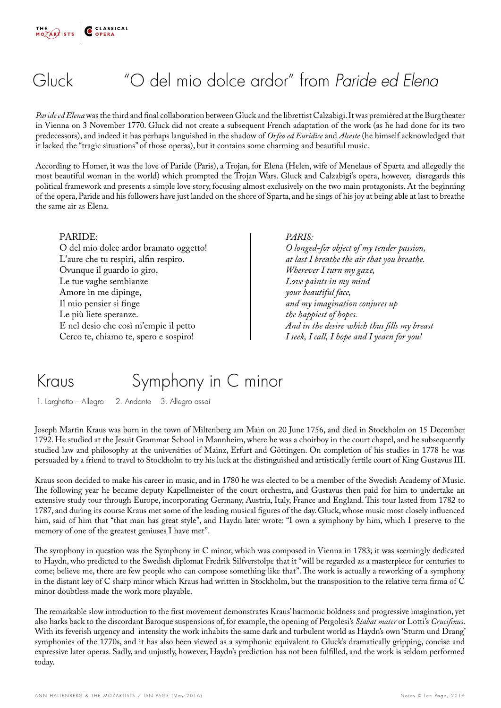## Gluck "O del mio dolce ardor" from *Paride ed Elena*

*Paride ed Elena* was the third and final collaboration between Gluck and the librettist Calzabigi. It was premièred at the Burgtheater in Vienna on 3 November 1770. Gluck did not create a subsequent French adaptation of the work (as he had done for its two predecessors), and indeed it has perhaps languished in the shadow of *Orfeo ed Euridice* and *Alceste* (he himself acknowledged that it lacked the "tragic situations" of those operas), but it contains some charming and beautiful music.

According to Homer, it was the love of Paride (Paris), a Trojan, for Elena (Helen, wife of Menelaus of Sparta and allegedly the most beautiful woman in the world) which prompted the Trojan Wars. Gluck and Calzabigi's opera, however, disregards this political framework and presents a simple love story, focusing almost exclusively on the two main protagonists. At the beginning of the opera, Paride and his followers have just landed on the shore of Sparta, and he sings of his joy at being able at last to breathe the same air as Elena.

#### PARIDE:

O del mio dolce ardor bramato oggetto! L'aure che tu respiri, alfin respiro. Ovunque il guardo io giro, Le tue vaghe sembianze Amore in me dipinge, Il mio pensier si finge Le più liete speranze. E nel desio che così m'empie il petto Cerco te, chiamo te, spero e sospiro!

#### *PARIS:*

*O longed-for object of my tender passion, at last I breathe the air that you breathe. Wherever I turn my gaze, Love paints in my mind your beautiful face, and my imagination conjures up the happiest of hopes. And in the desire which thus fills my breast I seek, I call, I hope and I yearn for you!*

### Kraus Symphony in C minor

1. Larghetto – Allegro 2. Andante 3. Allegro assai

Joseph Martin Kraus was born in the town of Miltenberg am Main on 20 June 1756, and died in Stockholm on 15 December 1792. He studied at the Jesuit Grammar School in Mannheim, where he was a choirboy in the court chapel, and he subsequently studied law and philosophy at the universities of Mainz, Erfurt and Göttingen. On completion of his studies in 1778 he was persuaded by a friend to travel to Stockholm to try his luck at the distinguished and artistically fertile court of King Gustavus III.

Kraus soon decided to make his career in music, and in 1780 he was elected to be a member of the Swedish Academy of Music. The following year he became deputy Kapellmeister of the court orchestra, and Gustavus then paid for him to undertake an extensive study tour through Europe, incorporating Germany, Austria, Italy, France and England. This tour lasted from 1782 to 1787, and during its course Kraus met some of the leading musical figures of the day. Gluck, whose music most closely influenced him, said of him that "that man has great style", and Haydn later wrote: "I own a symphony by him, which I preserve to the memory of one of the greatest geniuses I have met".

The symphony in question was the Symphony in C minor, which was composed in Vienna in 1783; it was seemingly dedicated to Haydn, who predicted to the Swedish diplomat Fredrik Silfverstolpe that it "will be regarded as a masterpiece for centuries to come; believe me, there are few people who can compose something like that". The work is actually a reworking of a symphony in the distant key of C sharp minor which Kraus had written in Stockholm, but the transposition to the relative terra firma of C minor doubtless made the work more playable.

The remarkable slow introduction to the first movement demonstrates Kraus' harmonic boldness and progressive imagination, yet also harks back to the discordant Baroque suspensions of, for example, the opening of Pergolesi's *Stabat mater* or Lotti's *Crucifixus*. With its feverish urgency and intensity the work inhabits the same dark and turbulent world as Haydn's own 'Sturm und Drang' symphonies of the 1770s, and it has also been viewed as a symphonic equivalent to Gluck's dramatically gripping, concise and expressive later operas. Sadly, and unjustly, however, Haydn's prediction has not been fulfilled, and the work is seldom performed today.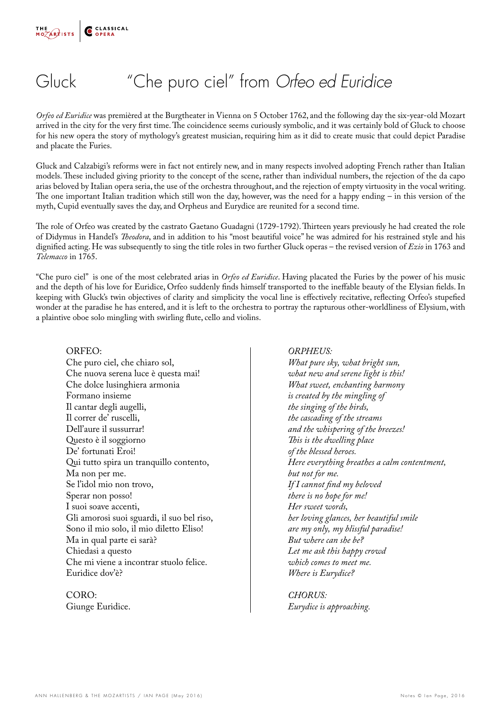## Gluck "Che puro ciel" from *Orfeo ed Euridice*

*Orfeo ed Euridice* was premièred at the Burgtheater in Vienna on 5 October 1762, and the following day the six-year-old Mozart arrived in the city for the very first time. The coincidence seems curiously symbolic, and it was certainly bold of Gluck to choose for his new opera the story of mythology's greatest musician, requiring him as it did to create music that could depict Paradise and placate the Furies.

Gluck and Calzabigi's reforms were in fact not entirely new, and in many respects involved adopting French rather than Italian models. These included giving priority to the concept of the scene, rather than individual numbers, the rejection of the da capo arias beloved by Italian opera seria, the use of the orchestra throughout, and the rejection of empty virtuosity in the vocal writing. The one important Italian tradition which still won the day, however, was the need for a happy ending – in this version of the myth, Cupid eventually saves the day, and Orpheus and Eurydice are reunited for a second time.

The role of Orfeo was created by the castrato Gaetano Guadagni (1729-1792). Thirteen years previously he had created the role of Didymus in Handel's *Theodora*, and in addition to his "most beautiful voice" he was admired for his restrained style and his dignified acting. He was subsequently to sing the title roles in two further Gluck operas – the revised version of *Ezio* in 1763 and *Telemacco* in 1765.

"Che puro ciel" is one of the most celebrated arias in *Orfeo ed Euridice*. Having placated the Furies by the power of his music and the depth of his love for Euridice, Orfeo suddenly finds himself transported to the ineffable beauty of the Elysian fields. In keeping with Gluck's twin objectives of clarity and simplicity the vocal line is effectively recitative, reflecting Orfeo's stupefied wonder at the paradise he has entered, and it is left to the orchestra to portray the rapturous other-worldliness of Elysium, with a plaintive oboe solo mingling with swirling flute, cello and violins.

#### ORFEO:

Che puro ciel, che chiaro sol, Che nuova serena luce è questa mai! Che dolce lusinghiera armonia Formano insieme Il cantar degli augelli, Il correr de' ruscelli, Dell'aure il sussurrar! Questo è il soggiorno De' fortunati Eroi! Qui tutto spira un tranquillo contento, Ma non per me. Se l'idol mio non trovo, Sperar non posso! I suoi soave accenti, Gli amorosi suoi sguardi, il suo bel riso, Sono il mio solo, il mio diletto Eliso! Ma in qual parte ei sarà? Chiedasi a questo Che mi viene a incontrar stuolo felice. Euridice dov'è?

CORO: Giunge Euridice.

#### *ORPHEUS:*

*What pure sky, what bright sun, what new and serene light is this! What sweet, enchanting harmony is created by the mingling of the singing of the birds, the cascading of the streams and the whispering of the breezes! This is the dwelling place of the blessed heroes. Here everything breathes a calm contentment, but not for me. If I cannot find my beloved there is no hope for me! Her sweet words, her loving glances, her beautiful smile are my only, my blissful paradise! But where can she be? Let me ask this happy crowd which comes to meet me. Where is Eurydice?*

*CHORUS: Eurydice is approaching.*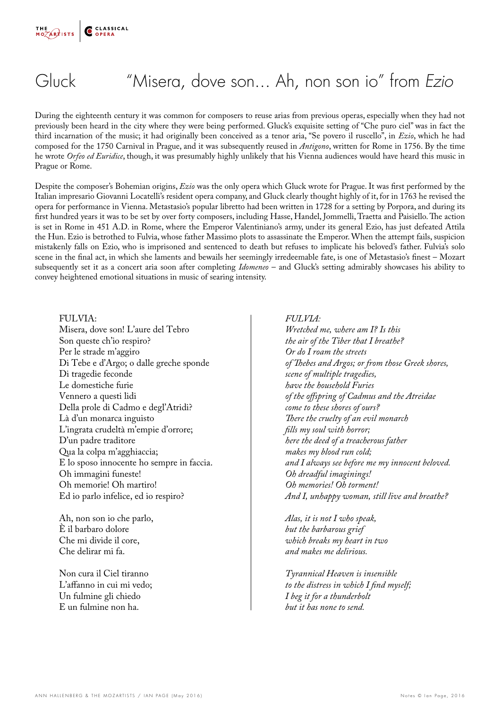## Gluck "Misera, dove son... Ah, non son io" from *Ezio*

During the eighteenth century it was common for composers to reuse arias from previous operas, especially when they had not previously been heard in the city where they were being performed. Gluck's exquisite setting of "Che puro ciel" was in fact the third incarnation of the music; it had originally been conceived as a tenor aria, "Se povero il ruscello", in *Ezio*, which he had composed for the 1750 Carnival in Prague, and it was subsequently reused in *Antigono*, written for Rome in 1756. By the time he wrote *Orfeo ed Euridice*, though, it was presumably highly unlikely that his Vienna audiences would have heard this music in Prague or Rome.

Despite the composer's Bohemian origins, *Ezio* was the only opera which Gluck wrote for Prague. It was first performed by the Italian impresario Giovanni Locatelli's resident opera company, and Gluck clearly thought highly of it, for in 1763 he revised the opera for performance in Vienna. Metastasio's popular libretto had been written in 1728 for a setting by Porpora, and during its first hundred years it was to be set by over forty composers, including Hasse, Handel, Jommelli, Traetta and Paisiello. The action is set in Rome in 451 A.D. in Rome, where the Emperor Valentiniano's army, under its general Ezio, has just defeated Attila the Hun. Ezio is betrothed to Fulvia, whose father Massimo plots to assassinate the Emperor. When the attempt fails, suspicion mistakenly falls on Ezio, who is imprisoned and sentenced to death but refuses to implicate his beloved's father. Fulvia's solo scene in the final act, in which she laments and bewails her seemingly irredeemable fate, is one of Metastasio's finest – Mozart subsequently set it as a concert aria soon after completing *Idomeneo* – and Gluck's setting admirably showcases his ability to convey heightened emotional situations in music of searing intensity.

FULVIA: Misera, dove son! L'aure del Tebro Son queste ch'io respiro? Per le strade m'aggiro Di Tebe e d'Argo; o dalle greche sponde Di tragedie feconde Le domestiche furie Vennero a questi lidi Della prole di Cadmo e degl'Atridi? Là d'un monarca inguisto L'ingrata crudeltà m'empie d'orrore; D'un padre traditore Qua la colpa m'agghiaccia; E lo sposo innocente ho sempre in faccia. Oh immagini funeste! Oh memorie! Oh martiro! Ed io parlo infelice, ed io respiro?

Ah, non son io che parlo, È il barbaro dolore Che mi divide il core, Che delirar mi fa.

Non cura il Ciel tiranno L'affanno in cui mi vedo; Un fulmine gli chiedo E un fulmine non ha.

#### *FULVIA:*

*Wretched me, where am I? Is this the air of the Tiber that I breathe? Or do I roam the streets of Thebes and Argos; or from those Greek shores, scene of multiple tragedies, have the household Furies of the offspring of Cadmus and the Atreidae come to these shores of ours? There the cruelty of an evil monarch fills my soul with horror; here the deed of a treacherous father makes my blood run cold; and I always see before me my innocent beloved. Oh dreadful imaginings! Oh memories! Oh torment! And I, unhappy woman, still live and breathe?*

*Alas, it is not I who speak, but the barbarous grief which breaks my heart in two and makes me delirious.*

*Tyrannical Heaven is insensible to the distress in which I find myself; I beg it for a thunderbolt but it has none to send.*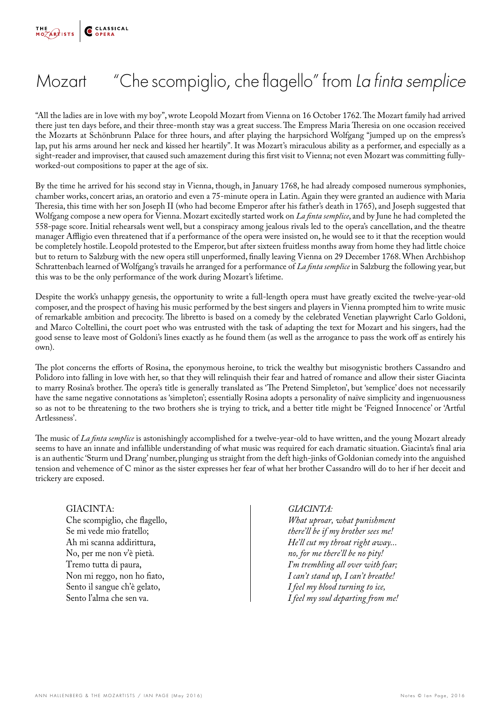

### Mozart "Che scompiglio, che flagello" from *La finta semplice*

"All the ladies are in love with my boy", wrote Leopold Mozart from Vienna on 16 October 1762. The Mozart family had arrived there just ten days before, and their three-month stay was a great success. The Empress Maria Theresia on one occasion received the Mozarts at Schönbrunn Palace for three hours, and after playing the harpsichord Wolfgang "jumped up on the empress's lap, put his arms around her neck and kissed her heartily". It was Mozart's miraculous ability as a performer, and especially as a sight-reader and improviser, that caused such amazement during this first visit to Vienna; not even Mozart was committing fullyworked-out compositions to paper at the age of six.

By the time he arrived for his second stay in Vienna, though, in January 1768, he had already composed numerous symphonies, chamber works, concert arias, an oratorio and even a 75-minute opera in Latin. Again they were granted an audience with Maria Theresia, this time with her son Joseph II (who had become Emperor after his father's death in 1765), and Joseph suggested that Wolfgang compose a new opera for Vienna. Mozart excitedly started work on *La finta semplice*, and by June he had completed the 558-page score. Initial rehearsals went well, but a conspiracy among jealous rivals led to the opera's cancellation, and the theatre manager Affligio even threatened that if a performance of the opera were insisted on, he would see to it that the reception would be completely hostile. Leopold protested to the Emperor, but after sixteen fruitless months away from home they had little choice but to return to Salzburg with the new opera still unperformed, finally leaving Vienna on 29 December 1768. When Archbishop Schrattenbach learned of Wolfgang's travails he arranged for a performance of *La finta semplice* in Salzburg the following year, but this was to be the only performance of the work during Mozart's lifetime.

Despite the work's unhappy genesis, the opportunity to write a full-length opera must have greatly excited the twelve-year-old composer, and the prospect of having his music performed by the best singers and players in Vienna prompted him to write music of remarkable ambition and precocity. The libretto is based on a comedy by the celebrated Venetian playwright Carlo Goldoni, and Marco Coltellini, the court poet who was entrusted with the task of adapting the text for Mozart and his singers, had the good sense to leave most of Goldoni's lines exactly as he found them (as well as the arrogance to pass the work off as entirely his own).

The plot concerns the efforts of Rosina, the eponymous heroine, to trick the wealthy but misogynistic brothers Cassandro and Polidoro into falling in love with her, so that they will relinquish their fear and hatred of romance and allow their sister Giacinta to marry Rosina's brother. The opera's title is generally translated as 'The Pretend Simpleton', but 'semplice' does not necessarily have the same negative connotations as 'simpleton'; essentially Rosina adopts a personality of naïve simplicity and ingenuousness so as not to be threatening to the two brothers she is trying to trick, and a better title might be 'Feigned Innocence' or 'Artful Artlessness'.

The music of *La finta semplice* is astonishingly accomplished for a twelve-year-old to have written, and the young Mozart already seems to have an innate and infallible understanding of what music was required for each dramatic situation. Giacinta's final aria is an authentic 'Sturm und Drang' number, plunging us straight from the deft high-jinks of Goldonian comedy into the anguished tension and vehemence of C minor as the sister expresses her fear of what her brother Cassandro will do to her if her deceit and trickery are exposed.

#### GIACINTA:

Che scompiglio, che flagello, Se mi vede mio fratello; Ah mi scanna addirittura, No, per me non v'è pietà. Tremo tutta di paura, Non mi reggo, non ho fiato, Sento il sangue ch'è gelato, Sento l'alma che sen va.

#### *GIACINTA:*

*What uproar, what punishment there'll be if my brother sees me! He'll cut my throat right away... no, for me there'll be no pity! I'm trembling all over with fear; I can't stand up, I can't breathe! I feel my blood turning to ice, I feel my soul departing from me!*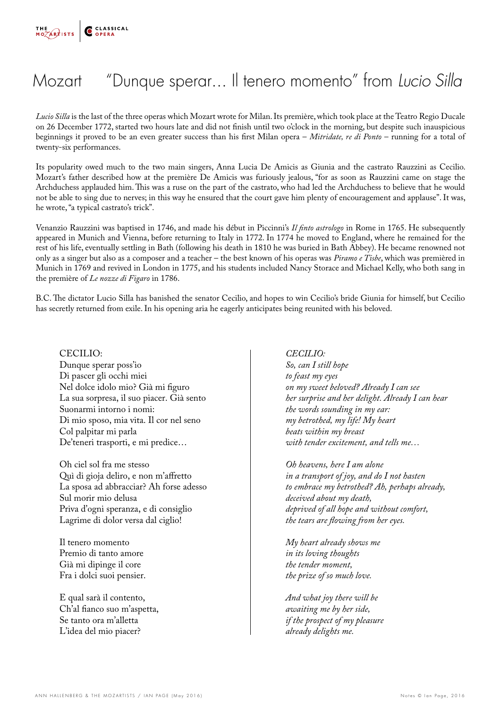

### Mozart "Dunque sperar... Il tenero momento" from *Lucio Silla*

*Lucio Silla* is the last of the three operas which Mozart wrote for Milan. Its première, which took place at the Teatro Regio Ducale on 26 December 1772, started two hours late and did not finish until two o'clock in the morning, but despite such inauspicious beginnings it proved to be an even greater success than his first Milan opera – *Mitridate, re di Ponto* – running for a total of twenty-six performances.

Its popularity owed much to the two main singers, Anna Lucia De Amicis as Giunia and the castrato Rauzzini as Cecilio. Mozart's father described how at the première De Amicis was furiously jealous, "for as soon as Rauzzini came on stage the Archduchess applauded him. This was a ruse on the part of the castrato, who had led the Archduchess to believe that he would not be able to sing due to nerves; in this way he ensured that the court gave him plenty of encouragement and applause". It was, he wrote, "a typical castrato's trick".

Venanzio Rauzzini was baptised in 1746, and made his début in Piccinni's *Il finto astrologo* in Rome in 1765. He subsequently appeared in Munich and Vienna, before returning to Italy in 1772. In 1774 he moved to England, where he remained for the rest of his life, eventually settling in Bath (following his death in 1810 he was buried in Bath Abbey). He became renowned not only as a singer but also as a composer and a teacher – the best known of his operas was *Piramo e Tisbe*, which was premièred in Munich in 1769 and revived in London in 1775, and his students included Nancy Storace and Michael Kelly, who both sang in the première of *Le nozze di Figaro* in 1786.

B.C. The dictator Lucio Silla has banished the senator Cecilio, and hopes to win Cecilio's bride Giunia for himself, but Cecilio has secretly returned from exile. In his opening aria he eagerly anticipates being reunited with his beloved.

CECILIO: Dunque sperar poss'io Di pascer gli occhi miei Nel dolce idolo mio? Già mi figuro La sua sorpresa, il suo piacer. Già sento Suonarmi intorno i nomi: Di mio sposo, mia vita. Il cor nel seno Col palpitar mi parla De'teneri trasporti, e mi predice…

Oh ciel sol fra me stesso Quì di gioja deliro, e non m'affretto La sposa ad abbracciar? Ah forse adesso Sul morir mio delusa Priva d'ogni speranza, e di consiglio Lagrime di dolor versa dal ciglio!

Il tenero momento Premio di tanto amore Già mi dipinge il core Fra i dolci suoi pensier.

E qual sarà il contento, Ch'al fianco suo m'aspetta, Se tanto ora m'alletta L'idea del mio piacer?

#### *CECILIO:*

*So, can I still hope to feast my eyes on my sweet beloved? Already I can see her surprise and her delight. Already I can hear the words sounding in my ear: my betrothed, my life! My heart beats within my breast with tender excitement, and tells me…*

*Oh heavens, here I am alone in a transport of joy, and do I not hasten to embrace my betrothed? Ah, perhaps already, deceived about my death, deprived of all hope and without comfort, the tears are flowing from her eyes.*

*My heart already shows me in its loving thoughts the tender moment, the prize of so much love.*

*And what joy there will be awaiting me by her side, if the prospect of my pleasure already delights me.*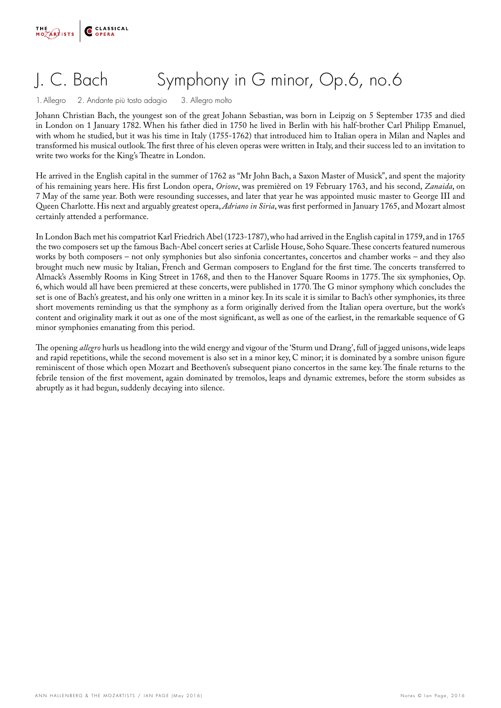

# J. C. Bach Symphony in G minor, Op.6, no.6

1. Allegro 2. Andante più tosto adagio 3. Allegro molto

Johann Christian Bach, the youngest son of the great Johann Sebastian, was born in Leipzig on 5 September 1735 and died in London on 1 January 1782. When his father died in 1750 he lived in Berlin with his half-brother Carl Philipp Emanuel, with whom he studied, but it was his time in Italy (1755-1762) that introduced him to Italian opera in Milan and Naples and transformed his musical outlook. The first three of his eleven operas were written in Italy, and their success led to an invitation to write two works for the King's Theatre in London.

He arrived in the English capital in the summer of 1762 as "Mr John Bach, a Saxon Master of Musick", and spent the majority of his remaining years here. His first London opera, *Orione*, was premièred on 19 February 1763, and his second, *Zanaida*, on 7 May of the same year. Both were resounding successes, and later that year he was appointed music master to George III and Queen Charlotte. His next and arguably greatest opera, *Adriano in Siria*, was first performed in January 1765, and Mozart almost certainly attended a performance.

In London Bach met his compatriot Karl Friedrich Abel (1723-1787), who had arrived in the English capital in 1759, and in 1765 the two composers set up the famous Bach-Abel concert series at Carlisle House, Soho Square. These concerts featured numerous works by both composers – not only symphonies but also sinfonia concertantes, concertos and chamber works – and they also brought much new music by Italian, French and German composers to England for the first time. The concerts transferred to Almack's Assembly Rooms in King Street in 1768, and then to the Hanover Square Rooms in 1775. The six symphonies, Op. 6, which would all have been premiered at these concerts, were published in 1770. The G minor symphony which concludes the set is one of Bach's greatest, and his only one written in a minor key. In its scale it is similar to Bach's other symphonies, its three short movements reminding us that the symphony as a form originally derived from the Italian opera overture, but the work's content and originality mark it out as one of the most significant, as well as one of the earliest, in the remarkable sequence of G minor symphonies emanating from this period.

The opening *allegro* hurls us headlong into the wild energy and vigour of the 'Sturm und Drang', full of jagged unisons, wide leaps and rapid repetitions, while the second movement is also set in a minor key, C minor; it is dominated by a sombre unison figure reminiscent of those which open Mozart and Beethoven's subsequent piano concertos in the same key. The finale returns to the febrile tension of the first movement, again dominated by tremolos, leaps and dynamic extremes, before the storm subsides as abruptly as it had begun, suddenly decaying into silence.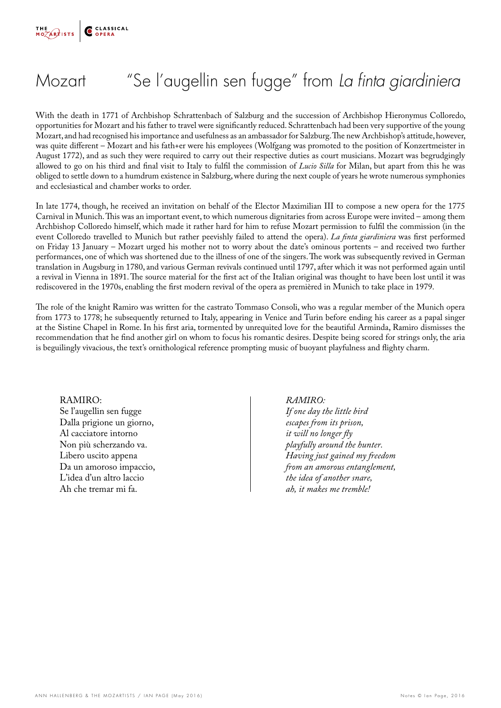

### Mozart "Se l'augellin sen fugge" from *La finta giardiniera*

With the death in 1771 of Archbishop Schrattenbach of Salzburg and the succession of Archbishop Hieronymus Colloredo, opportunities for Mozart and his father to travel were significantly reduced. Schrattenbach had been very supportive of the young Mozart, and had recognised his importance and usefulness as an ambassador for Salzburg. The new Archbishop's attitude, however, was quite different – Mozart and his fath+er were his employees (Wolfgang was promoted to the position of Konzertmeister in August 1772), and as such they were required to carry out their respective duties as court musicians. Mozart was begrudgingly allowed to go on his third and final visit to Italy to fulfil the commission of *Lucio Silla* for Milan, but apart from this he was obliged to settle down to a humdrum existence in Salzburg, where during the next couple of years he wrote numerous symphonies and ecclesiastical and chamber works to order.

In late 1774, though, he received an invitation on behalf of the Elector Maximilian III to compose a new opera for the 1775 Carnival in Munich. This was an important event, to which numerous dignitaries from across Europe were invited – among them Archbishop Colloredo himself, which made it rather hard for him to refuse Mozart permission to fulfil the commission (in the event Colloredo travelled to Munich but rather peevishly failed to attend the opera). *La finta giardiniera* was first performed on Friday 13 January – Mozart urged his mother not to worry about the date's ominous portents – and received two further performances, one of which was shortened due to the illness of one of the singers. The work was subsequently revived in German translation in Augsburg in 1780, and various German revivals continued until 1797, after which it was not performed again until a revival in Vienna in 1891. The source material for the first act of the Italian original was thought to have been lost until it was rediscovered in the 1970s, enabling the first modern revival of the opera as premièred in Munich to take place in 1979.

The role of the knight Ramiro was written for the castrato Tommaso Consoli, who was a regular member of the Munich opera from 1773 to 1778; he subsequently returned to Italy, appearing in Venice and Turin before ending his career as a papal singer at the Sistine Chapel in Rome. In his first aria, tormented by unrequited love for the beautiful Arminda, Ramiro dismisses the recommendation that he find another girl on whom to focus his romantic desires. Despite being scored for strings only, the aria is beguilingly vivacious, the text's ornithological reference prompting music of buoyant playfulness and flighty charm.

RAMIRO: Se l'augellin sen fugge Dalla prigione un giorno, Al cacciatore intorno Non più scherzando va. Libero uscito appena Da un amoroso impaccio, L'idea d'un altro laccio Ah che tremar mi fa.

*RAMIRO:*

*If one day the little bird escapes from its prison, it will no longer fly playfully around the hunter. Having just gained my freedom from an amorous entanglement, the idea of another snare, ah, it makes me tremble!*